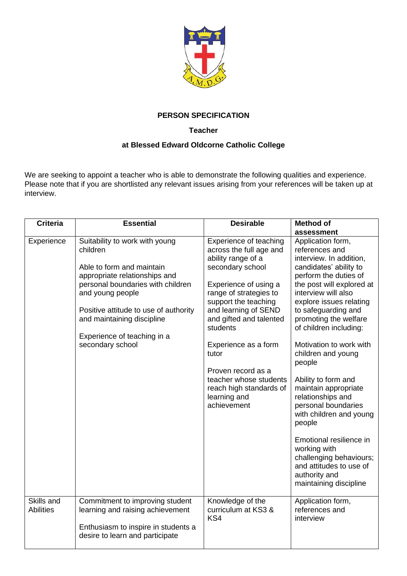

## **PERSON SPECIFICATION**

## **Teacher**

## **at Blessed Edward Oldcorne Catholic College**

We are seeking to appoint a teacher who is able to demonstrate the following qualities and experience. Please note that if you are shortlisted any relevant issues arising from your references will be taken up at interview.

| <b>Criteria</b>                | <b>Essential</b>                                                                                                                                                                                                                                                                            | <b>Desirable</b>                                                                                                                                                                                                                                                                                                                                                                 | <b>Method of</b>                                                                                                                                                                                                                                                                                                                                                                                                                                                                                                                                                                                                                |
|--------------------------------|---------------------------------------------------------------------------------------------------------------------------------------------------------------------------------------------------------------------------------------------------------------------------------------------|----------------------------------------------------------------------------------------------------------------------------------------------------------------------------------------------------------------------------------------------------------------------------------------------------------------------------------------------------------------------------------|---------------------------------------------------------------------------------------------------------------------------------------------------------------------------------------------------------------------------------------------------------------------------------------------------------------------------------------------------------------------------------------------------------------------------------------------------------------------------------------------------------------------------------------------------------------------------------------------------------------------------------|
| Experience                     | Suitability to work with young<br>children<br>Able to form and maintain<br>appropriate relationships and<br>personal boundaries with children<br>and young people<br>Positive attitude to use of authority<br>and maintaining discipline<br>Experience of teaching in a<br>secondary school | Experience of teaching<br>across the full age and<br>ability range of a<br>secondary school<br>Experience of using a<br>range of strategies to<br>support the teaching<br>and learning of SEND<br>and gifted and talented<br>students<br>Experience as a form<br>tutor<br>Proven record as a<br>teacher whose students<br>reach high standards of<br>learning and<br>achievement | assessment<br>Application form,<br>references and<br>interview. In addition,<br>candidates' ability to<br>perform the duties of<br>the post will explored at<br>interview will also<br>explore issues relating<br>to safeguarding and<br>promoting the welfare<br>of children including:<br>Motivation to work with<br>children and young<br>people<br>Ability to form and<br>maintain appropriate<br>relationships and<br>personal boundaries<br>with children and young<br>people<br>Emotional resilience in<br>working with<br>challenging behaviours;<br>and attitudes to use of<br>authority and<br>maintaining discipline |
| Skills and<br><b>Abilities</b> | Commitment to improving student<br>learning and raising achievement<br>Enthusiasm to inspire in students a<br>desire to learn and participate                                                                                                                                               | Knowledge of the<br>curriculum at KS3 &<br>KS4                                                                                                                                                                                                                                                                                                                                   | Application form,<br>references and<br>interview                                                                                                                                                                                                                                                                                                                                                                                                                                                                                                                                                                                |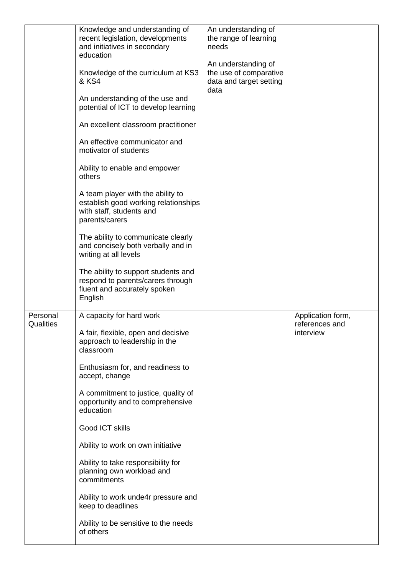|                       | Knowledge and understanding of<br>recent legislation, developments<br>and initiatives in secondary<br>education<br>Knowledge of the curriculum at KS3<br>& KS4<br>An understanding of the use and<br>potential of ICT to develop learning<br>An excellent classroom practitioner<br>An effective communicator and<br>motivator of students<br>Ability to enable and empower<br>others<br>A team player with the ability to<br>establish good working relationships<br>with staff, students and<br>parents/carers<br>The ability to communicate clearly<br>and concisely both verbally and in<br>writing at all levels<br>The ability to support students and<br>respond to parents/carers through<br>fluent and accurately spoken<br>English | An understanding of<br>the range of learning<br>needs<br>An understanding of<br>the use of comparative<br>data and target setting<br>data |                                                  |
|-----------------------|----------------------------------------------------------------------------------------------------------------------------------------------------------------------------------------------------------------------------------------------------------------------------------------------------------------------------------------------------------------------------------------------------------------------------------------------------------------------------------------------------------------------------------------------------------------------------------------------------------------------------------------------------------------------------------------------------------------------------------------------|-------------------------------------------------------------------------------------------------------------------------------------------|--------------------------------------------------|
| Personal<br>Qualities | A capacity for hard work<br>A fair, flexible, open and decisive<br>approach to leadership in the<br>classroom<br>Enthusiasm for, and readiness to<br>accept, change<br>A commitment to justice, quality of<br>opportunity and to comprehensive<br>education<br>Good ICT skills<br>Ability to work on own initiative<br>Ability to take responsibility for<br>planning own workload and<br>commitments<br>Ability to work unde4r pressure and<br>keep to deadlines<br>Ability to be sensitive to the needs<br>of others                                                                                                                                                                                                                       |                                                                                                                                           | Application form,<br>references and<br>interview |